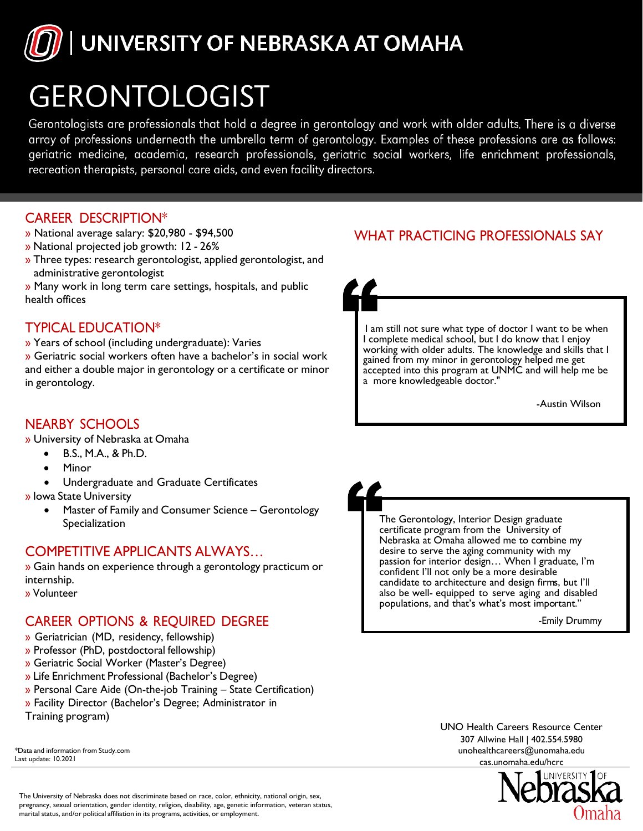

# GERONTOLOGIST

Gerontologists are professionals that hold a degree in gerontology and work with older adults. There is a diverse array of professions underneath the umbrella term of gerontology. Examples of these professions are as follows: geriatric medicine, academia, research professionals, geriatric social workers, life enrichment professionals, recreation therapists, personal care aids, and even facility directors.

#### CAREER DESCRIPTION\*

- » National average salary: \$20,980 \$94,500
- » National projected job growth: 12 26%
- » Three types: research gerontologist, applied gerontologist, and administrative gerontologist
- » Many work in long term care settings, hospitals, and public health offices

#### TYPICAL EDUCATION\*

» Years of school (including undergraduate): Varies

» Geriatric social workers often have a bachelor's in social work and either a double major in gerontology or a certificate or minor in gerontology.

### WHAT PRACTICING PROFESSIONALS SAY

I am still not sure what type of doctor I want to be when I complete medical school, but I do know that I enjoy working with older adults. The knowledge and skills that I gained from my minor in gerontology helped me get accepted into this program at UNMC and will help me be a more knowledgeable doctor."

-Austin Wilson

#### NEARBY SCHOOLS

» University of Nebraska at Omaha

- B.S., M.A., & Ph.D.
- Minor
- Undergraduate and Graduate Certificates
- » Iowa State University
	- Master of Family and Consumer Science Gerontology Specialization

#### COMPETITIVE APPLICANTS ALWAYS…

» Gain hands on experience through a gerontology practicum or internship.

» Volunteer

## CAREER OPTIONS & REQUIRED DEGREE

- » Geriatrician (MD, residency, fellowship)
- » Professor (PhD, postdoctoral fellowship)
- » Geriatric Social Worker (Master's Degree)
- » Life Enrichment Professional (Bachelor's Degree)
- » Personal Care Aide (On-the-job Training State Certification)
- » Facility Director (Bachelor's Degree; Administrator in
- Training program)

\*Data and information from Study.com Last update: 10.2021

The Gerontology, Interior Design graduate certificate program from the University of Nebraska at Omaha allowed me to combine my desire to serve the aging community with my passion for interior design… When I graduate, I'm confident I'll not only be a more desirable candidate to architecture and design firms, but I'll also be well- equipped to serve aging and disabled populations, and that's what's most important."

-Emily Drummy

[UNO](mailto:unohealthcareers@unomaha.edu) Health Careers [Resourc](mailto:unohealthcareers@unomaha.edu)e Center 307 Allwine Hall | 402.554.5980 unohealthcareers@unomaha.edu cas.unomaha.edu/hcrc



The University of Nebraska does not discriminate based on race, color, ethnicity, national origin, sex, pregnancy, sexual orientation, gender identity, religion, disability, age, genetic information, veteran status, marital status, and/or political affiliation in its programs, activities, or employment.